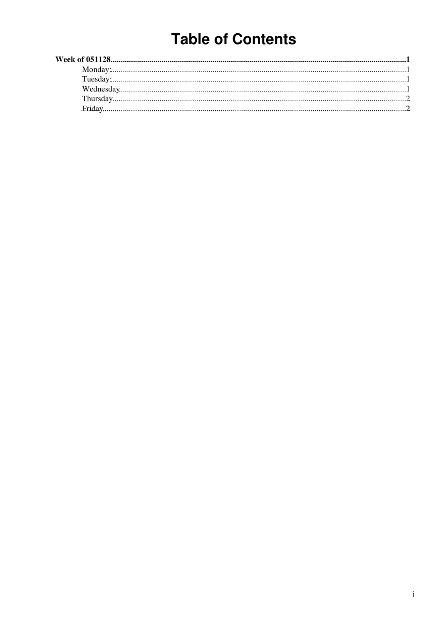# **Table of Contents**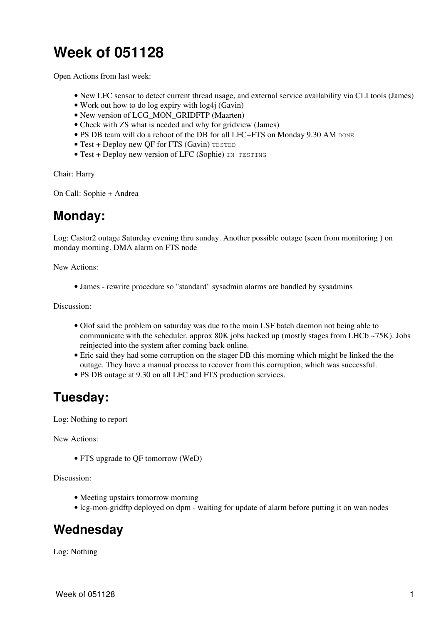## <span id="page-1-0"></span>**Week of 051128**

Open Actions from last week:

- New LFC sensor to detect current thread usage, and external service availability via CLI tools (James)
- Work out how to do log expiry with log4j (Gavin)
- New version of LCG\_MON\_GRIDFTP (Maarten)
- Check with ZS what is needed and why for gridview (James)
- PS DB team will do a reboot of the DB for all LFC+FTS on Monday 9.30 AM DONE
- Test + Deploy new QF for FTS (Gavin) TESTED
- Test + Deploy new version of LFC (Sophie) IN TESTING

Chair: Harry

On Call: Sophie + Andrea

#### <span id="page-1-1"></span>**Monday:**

Log: Castor2 outage Saturday evening thru sunday. Another possible outage (seen from monitoring ) on monday morning. DMA alarm on FTS node

New Actions:

• James - rewrite procedure so "standard" sysadmin alarms are handled by sysadmins

Discussion:

- Olof said the problem on saturday was due to the main [LSF](https://twiki.cern.ch/twiki/bin/view/LCG/LSF) batch daemon not being able to communicate with the scheduler. approx 80K jobs backed up (mostly stages from LHCb ~75K). Jobs reinjected into the system after coming back online.
- Eric said they had some corruption on the stager DB this morning which might be linked the the outage. They have a manual process to recover from this corruption, which was successful.
- PS DB outage at 9.30 on all LFC and FTS production services.

#### <span id="page-1-2"></span>**Tuesday:**

Log: Nothing to report

New Actions:

• FTS upgrade to QF tomorrow ([WeD](https://twiki.cern.ch/twiki/bin/edit/LCG/WeD?topicparent=LCG.SCDailyMeeting051128;nowysiwyg=1))

Discussion:

- Meeting upstairs tomorrow morning
- lcg-mon-gridftp deployed on dpm waiting for update of alarm before putting it on wan nodes

#### <span id="page-1-3"></span>**Wednesday**

Log: Nothing